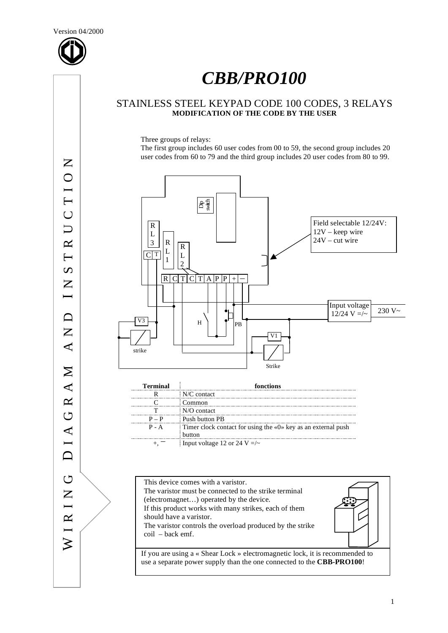

# *CBB/PRO100*

# STAINLESS STEEL KEYPAD CODE 100 CODES, 3 RELAYS **MODIFICATION OF THE CODE BY THE USER**

Three groups of relays:

The first group includes 60 user codes from 00 to 59, the second group includes 20 user codes from 60 to 79 and the third group includes 20 user codes from 80 to 99.

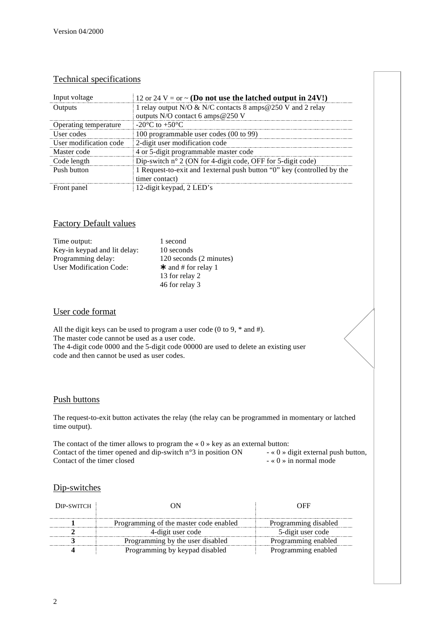# Technical specifications

| Input voltage          | 12 or 24 V = or $\sim$ (Do not use the latched output in 24V!)          |
|------------------------|-------------------------------------------------------------------------|
| Outputs                | 1 relay output N/O & N/C contacts 8 amps@250 V and 2 relay              |
|                        | outputs N/O contact 6 amps @250 V                                       |
| Operating temperature  | $-20^{\circ}$ C to $+50^{\circ}$ C                                      |
| User codes             | 100 programmable user codes (00 to 99)                                  |
| User modification code | 2-digit user modification code                                          |
| Master code            | 4 or 5-digit programmable master code                                   |
| Code length            | Dip-switch $n^{\circ}$ 2 (ON for 4-digit code, OFF for 5-digit code)    |
| Push button            | 1 Request-to-exit and 1 external push button "0" key (controlled by the |
|                        | timer contact)                                                          |
| Front panel            | 12-digit keypad, 2 LED's                                                |

## Factory Default values

| Time output:                 | 1 second                  |
|------------------------------|---------------------------|
| Key-in keypad and lit delay: | 10 seconds                |
| Programming delay:           | 120 seconds (2 minutes)   |
| User Modification Code:      | $\star$ and # for relay 1 |
|                              | 13 for relay 2            |
|                              | 46 for relay 3            |

### User code format

All the digit keys can be used to program a user code (0 to 9,  $*$  and #). The master code cannot be used as a user code. The 4-digit code 0000 and the 5-digit code 00000 are used to delete an existing user code and then cannot be used as user codes.

#### Push buttons

The request-to-exit button activates the relay (the relay can be programmed in momentary or latched time output).

The contact of the timer allows to program the «  $0 \times$  key as an external button:<br>Contact of the timer opened and dip-switch  $n^{\circ}3$  in position ON  $\cdot$  «  $0 \times$  digit external push button, Contact of the timer opened and dip-switch n°3 in position ON  $-$  « 0 » digit external pu<br>Contact of the timer closed  $-$  « 0 » in normal mode Contact of the timer closed

## Dip-switches

| DIP-SWITCH |                                        | . IHH                |
|------------|----------------------------------------|----------------------|
|            | Programming of the master code enabled | Programming disabled |
|            | 4-digit user code                      | 5-digit user code    |
|            | Programming by the user disabled       | Programming enabled  |
|            | Programming by keypad disabled         | Programming enabled  |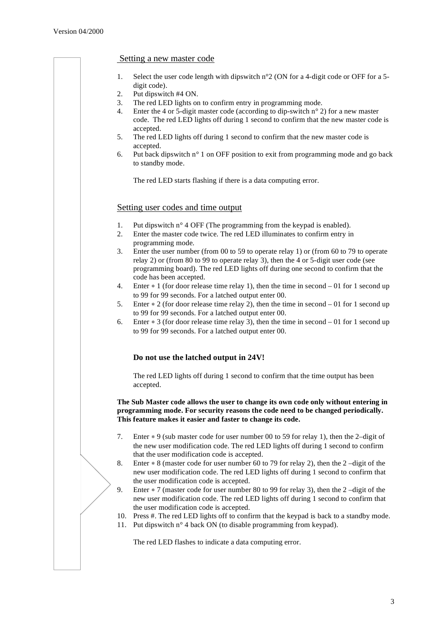#### Setting a new master code

- 1. Select the user code length with dipswitch n°2 (ON for a 4-digit code or OFF for a 5 digit code).
- 2. Put dipswitch #4 ON.
- 3. The red LED lights on to confirm entry in programming mode.
- 4. Enter the 4 or 5-digit master code (according to dip-switch n° 2) for a new master code. The red LED lights off during 1 second to confirm that the new master code is accepted.
- 5. The red LED lights off during 1 second to confirm that the new master code is accepted.
- 6. Put back dipswitch n° 1 on OFF position to exit from programming mode and go back to standby mode.

The red LED starts flashing if there is a data computing error.

## Setting user codes and time output

- 1. Put dipswitch  $n^{\circ}$  4 OFF (The programming from the keypad is enabled).
- 2. Enter the master code twice. The red LED illuminates to confirm entry in programming mode.
- 3. Enter the user number (from 00 to 59 to operate relay 1) or (from 60 to 79 to operate relay 2) or (from 80 to 99 to operate relay 3), then the 4 or 5-digit user code (see programming board). The red LED lights off during one second to confirm that the code has been accepted.
- 4. Enter  $*1$  (for door release time relay 1), then the time in second  $-01$  for 1 second up to 99 for 99 seconds. For a latched output enter 00.
- 5. Enter  $\ast$  2 (for door release time relay 2), then the time in second 01 for 1 second up to 99 for 99 seconds. For a latched output enter 00.
- 6. Enter  $*$  3 (for door release time relay 3), then the time in second 01 for 1 second up to 99 for 99 seconds. For a latched output enter 00.

#### **Do not use the latched output in 24V!**

The red LED lights off during 1 second to confirm that the time output has been accepted.

**The Sub Master code allows the user to change its own code only without entering in programming mode. For security reasons the code need to be changed periodically. This feature makes it easier and faster to change its code.** 

- 7. Enter  $\ast$  9 (sub master code for user number 00 to 59 for relay 1), then the 2-digit of the new user modification code. The red LED lights off during 1 second to confirm that the user modification code is accepted.
- 8. Enter  $* 8$  (master code for user number 60 to 79 for relay 2), then the 2-digit of the new user modification code. The red LED lights off during 1 second to confirm that the user modification code is accepted.
- 9. Enter  $\ast$  7 (master code for user number 80 to 99 for relay 3), then the 2-digit of the new user modification code. The red LED lights off during 1 second to confirm that the user modification code is accepted.
- 10. Press #. The red LED lights off to confirm that the keypad is back to a standby mode.
- 11. Put dipswitch  $n^{\circ}$  4 back ON (to disable programming from keypad).

The red LED flashes to indicate a data computing error.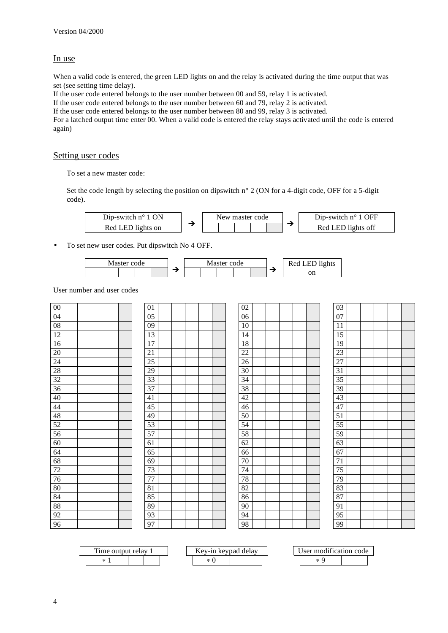# In use

When a valid code is entered, the green LED lights on and the relay is activated during the time output that was set (see setting time delay).

If the user code entered belongs to the user number between 00 and 59, relay 1 is activated.

If the user code entered belongs to the user number between 60 and 79, relay 2 is activated.

If the user code entered belongs to the user number between 80 and 99, relay 3 is activated.

For a latched output time enter 00. When a valid code is entered the relay stays activated until the code is entered again)

#### Setting user codes

To set a new master code:

Set the code length by selecting the position on dipswitch n° 2 (ON for a 4-digit code, OFF for a 5-digit code).



• To set new user codes. Put dipswitch No 4 OFF.



User number and user codes

| $00\,$          |  |  | 01              |  |  | 02     |  |  | 03     |  |  |
|-----------------|--|--|-----------------|--|--|--------|--|--|--------|--|--|
| 04              |  |  | 05              |  |  | 06     |  |  | 07     |  |  |
| ${\bf 08}$      |  |  | $09\,$          |  |  | 10     |  |  | 11     |  |  |
| $12\,$          |  |  | 13              |  |  | 14     |  |  | 15     |  |  |
| 16              |  |  | 17              |  |  | 18     |  |  | 19     |  |  |
| $20\,$          |  |  | $21\,$          |  |  | $22\,$ |  |  | 23     |  |  |
| $2\overline{4}$ |  |  | $25\,$          |  |  | $26\,$ |  |  | 27     |  |  |
| 28              |  |  | 29              |  |  | 30     |  |  | 31     |  |  |
| 32              |  |  | $\overline{33}$ |  |  | 34     |  |  | 35     |  |  |
| $\overline{36}$ |  |  | 37              |  |  | 38     |  |  | 39     |  |  |
| 40              |  |  | 41              |  |  | $42\,$ |  |  | 43     |  |  |
| $44\,$          |  |  | 45              |  |  | $46\,$ |  |  | 47     |  |  |
| 48              |  |  | 49              |  |  | $50\,$ |  |  | 51     |  |  |
| 52              |  |  | 53              |  |  | 54     |  |  | 55     |  |  |
| 56              |  |  | 57              |  |  | 58     |  |  | 59     |  |  |
| 60              |  |  | 61              |  |  | 62     |  |  | 63     |  |  |
| 64              |  |  | 65              |  |  | 66     |  |  | 67     |  |  |
| 68              |  |  | 69              |  |  | $70\,$ |  |  | $71\,$ |  |  |
| $72\,$          |  |  | 73              |  |  | 74     |  |  | $75\,$ |  |  |
| $76\,$          |  |  | $77 \,$         |  |  | $78\,$ |  |  | 79     |  |  |
| $80\,$          |  |  | $81\,$          |  |  | 82     |  |  | 83     |  |  |
| $\bf 84$        |  |  | 85              |  |  | 86     |  |  | 87     |  |  |
| 88              |  |  | 89              |  |  | $90\,$ |  |  | 91     |  |  |
| 92              |  |  | 93              |  |  | 94     |  |  | 95     |  |  |
| 96              |  |  | 97              |  |  | 98     |  |  | 99     |  |  |

| —<br>1 ime outpr<br>relav |  |  | $\mathbf{F}$<br>$eV-11$ | revnad . | delay | $\cdots$<br>odification code |  |  |  |
|---------------------------|--|--|-------------------------|----------|-------|------------------------------|--|--|--|
| ste<br>$\sim$             |  |  |                         |          |       | $\ast$                       |  |  |  |